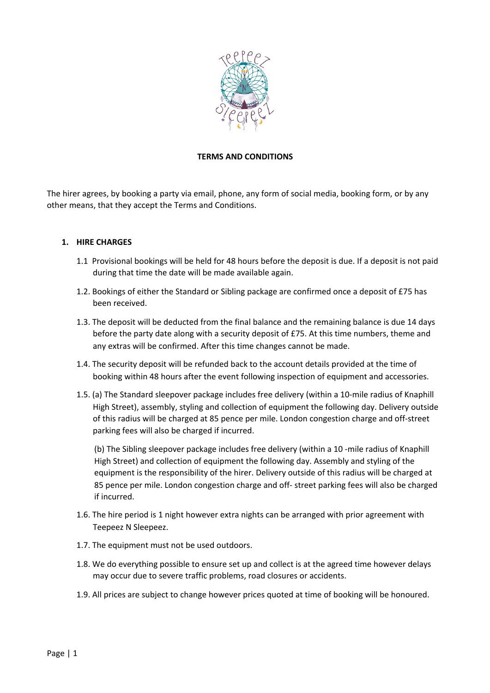

## **TERMS AND CONDITIONS**

The hirer agrees, by booking a party via email, phone, any form of social media, booking form, or by any other means, that they accept the Terms and Conditions.

#### **1. HIRE CHARGES**

- 1.1 Provisional bookings will be held for 48 hours before the deposit is due. If a deposit is not paid during that time the date will be made available again.
- 1.2. Bookings of either the Standard or Sibling package are confirmed once a deposit of £75 has been received.
- 1.3. The deposit will be deducted from the final balance and the remaining balance is due 14 days before the party date along with a security deposit of £75. At this time numbers, theme and any extras will be confirmed. After this time changes cannot be made.
- 1.4. The security deposit will be refunded back to the account details provided at the time of booking within 48 hours after the event following inspection of equipment and accessories.
- 1.5. (a) The Standard sleepover package includes free delivery (within a 10-mile radius of Knaphill High Street), assembly, styling and collection of equipment the following day. Delivery outside of this radius will be charged at 85 pence per mile. London congestion charge and off-street parking fees will also be charged if incurred.

(b) The Sibling sleepover package includes free delivery (within a 10 -mile radius of Knaphill High Street) and collection of equipment the following day. Assembly and styling of the equipment is the responsibility of the hirer. Delivery outside of this radius will be charged at 85 pence per mile. London congestion charge and off- street parking fees will also be charged if incurred.

- 1.6. The hire period is 1 night however extra nights can be arranged with prior agreement with Teepeez N Sleepeez.
- 1.7. The equipment must not be used outdoors.
- 1.8. We do everything possible to ensure set up and collect is at the agreed time however delays may occur due to severe traffic problems, road closures or accidents.
- 1.9. All prices are subject to change however prices quoted at time of booking will be honoured.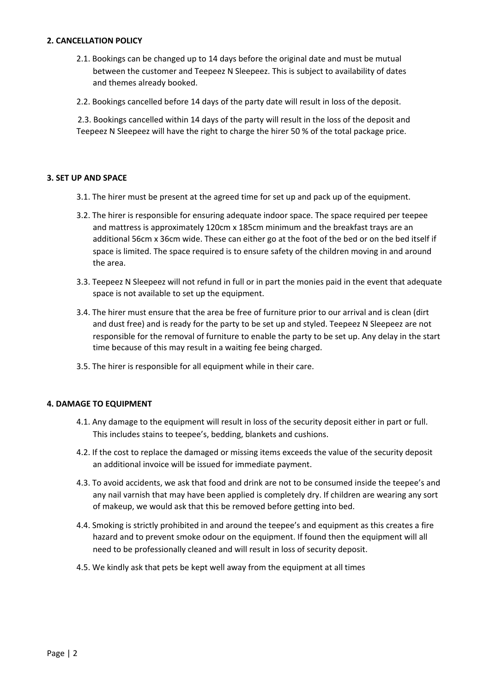## **2. CANCELLATION POLICY**

- 2.1. Bookings can be changed up to 14 days before the original date and must be mutual between the customer and Teepeez N Sleepeez. This is subject to availability of dates and themes already booked.
- 2.2. Bookings cancelled before 14 days of the party date will result in loss of the deposit.

2.3. Bookings cancelled within 14 days of the party will result in the loss of the deposit and Teepeez N Sleepeez will have the right to charge the hirer 50 % of the total package price.

# **3. SFT UP AND SPACE**

- 3.1. The hirer must be present at the agreed time for set up and pack up of the equipment.
- 3.2. The hirer is responsible for ensuring adequate indoor space. The space required per teepee and mattress is approximately  $120 \text{cm} \times 185 \text{cm}$  minimum and the breakfast trays are an additional 56cm x 36cm wide. These can either go at the foot of the bed or on the bed itself if space is limited. The space required is to ensure safety of the children moving in and around the area.
- 3.3. Teepeez N Sleepeez will not refund in full or in part the monies paid in the event that adequate space is not available to set up the equipment.
- 3.4. The hirer must ensure that the area be free of furniture prior to our arrival and is clean (dirt and dust free) and is ready for the party to be set up and styled. Teepeez N Sleepeez are not responsible for the removal of furniture to enable the party to be set up. Any delay in the start time because of this may result in a waiting fee being charged.
- 3.5. The hirer is responsible for all equipment while in their care.

#### **4. DAMAGE TO EQUIPMENT**

- 4.1. Any damage to the equipment will result in loss of the security deposit either in part or full. This includes stains to teepee's, bedding, blankets and cushions.
- 4.2. If the cost to replace the damaged or missing items exceeds the value of the security deposit an additional invoice will be issued for immediate payment.
- 4.3. To avoid accidents, we ask that food and drink are not to be consumed inside the teepee's and any nail varnish that may have been applied is completely dry. If children are wearing any sort of makeup, we would ask that this be removed before getting into bed.
- 4.4. Smoking is strictly prohibited in and around the teepee's and equipment as this creates a fire hazard and to prevent smoke odour on the equipment. If found then the equipment will all need to be professionally cleaned and will result in loss of security deposit.
- 4.5. We kindly ask that pets be kept well away from the equipment at all times